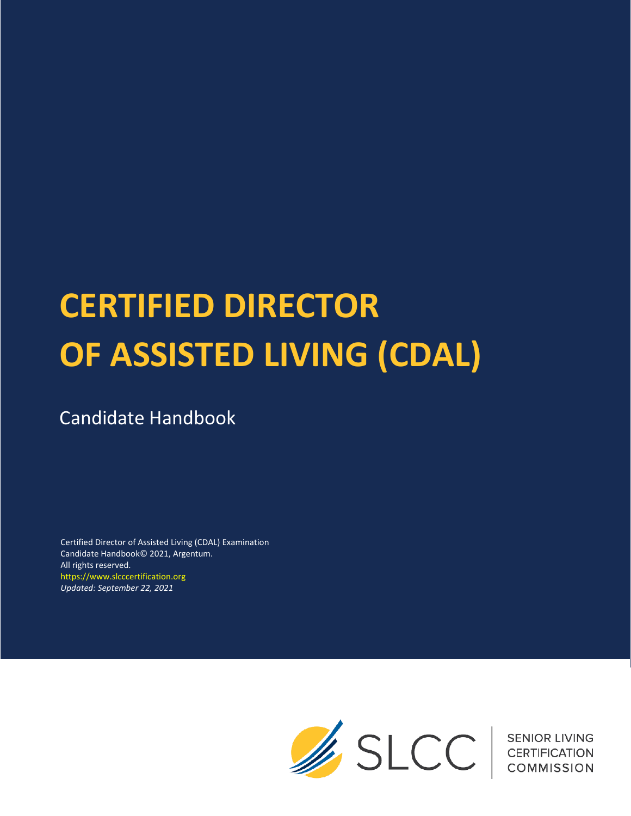# **CERTIFIED DIRECTOR OF ASSISTED LIVING (CDAL)**

## Candidate Handbook

Certified Director of Assisted Living (CDAL) Examination Candidate Handbook© 2021, Argentum. All rights reserved. https://www.slcccertification.org *Updated: September 22, 2021*

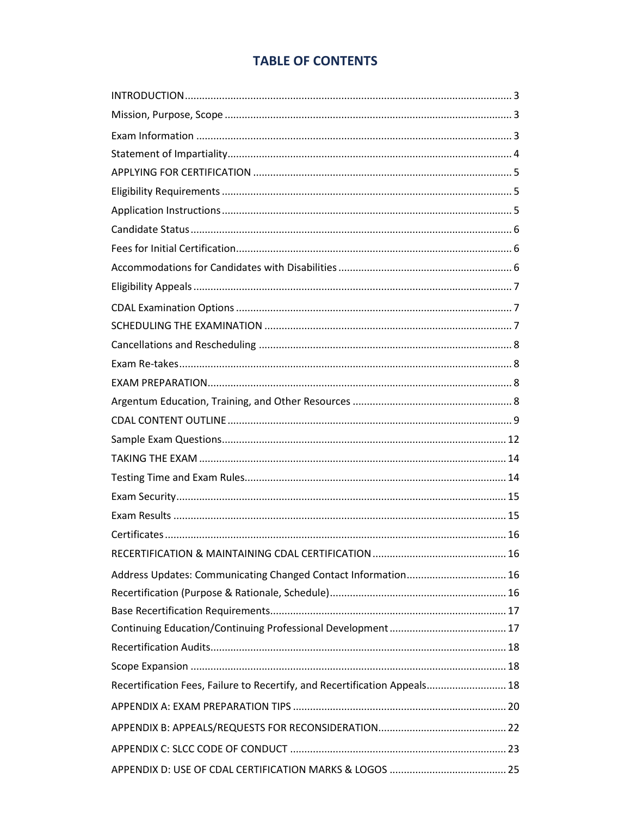## **TABLE OF CONTENTS**

| Address Updates: Communicating Changed Contact Information 16              |  |
|----------------------------------------------------------------------------|--|
|                                                                            |  |
|                                                                            |  |
|                                                                            |  |
|                                                                            |  |
|                                                                            |  |
| Recertification Fees, Failure to Recertify, and Recertification Appeals 18 |  |
|                                                                            |  |
|                                                                            |  |
|                                                                            |  |
|                                                                            |  |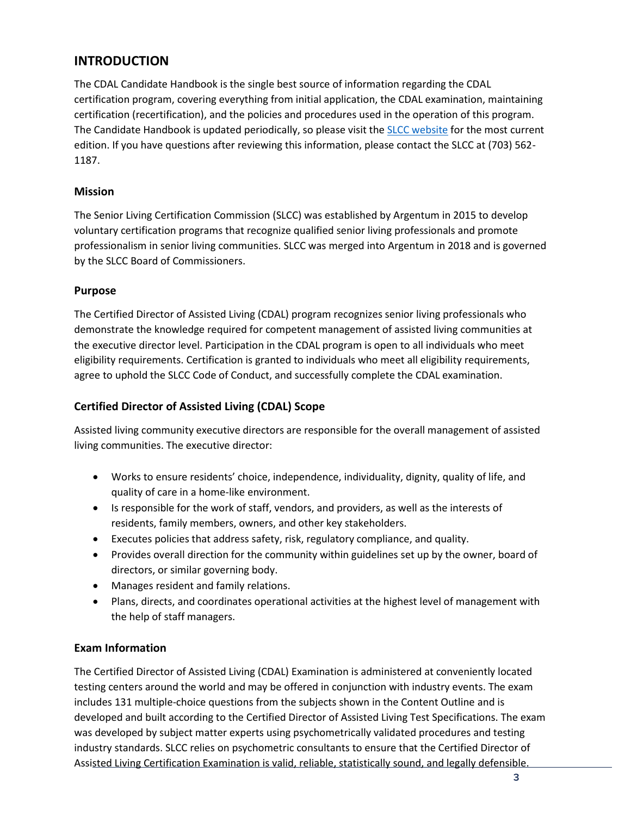## **INTRODUCTION**

The CDAL Candidate Handbook is the single best source of information regarding the CDAL certification program, covering everything from initial application, the CDAL examination, maintaining certification (recertification), and the policies and procedures used in the operation of this program. The Candidate Handbook is updated periodically, so please visit the **SLCC** website for the most current edition. If you have questions after reviewing this information, please contact the SLCC at (703) 562- 1187.

#### **Mission**

The Senior Living Certification Commission (SLCC) was established by Argentum in 2015 to develop voluntary certification programs that recognize qualified senior living professionals and promote professionalism in senior living communities. SLCC was merged into Argentum in 2018 and is governed by the SLCC Board of Commissioners.

#### **Purpose**

The Certified Director of Assisted Living (CDAL) program recognizes senior living professionals who demonstrate the knowledge required for competent management of assisted living communities at the executive director level. Participation in the CDAL program is open to all individuals who meet eligibility requirements. Certification is granted to individuals who meet all eligibility requirements, agree to uphold the SLCC Code of Conduct, and successfully complete the CDAL examination.

## **Certified Director of Assisted Living (CDAL) Scope**

Assisted living community executive directors are responsible for the overall management of assisted living communities. The executive director:

- Works to ensure residents' choice, independence, individuality, dignity, quality of life, and quality of care in a home-like environment.
- Is responsible for the work of staff, vendors, and providers, as well as the interests of residents, family members, owners, and other key stakeholders.
- Executes policies that address safety, risk, regulatory compliance, and quality.
- Provides overall direction for the community within guidelines set up by the owner, board of directors, or similar governing body.
- Manages resident and family relations.
- Plans, directs, and coordinates operational activities at the highest level of management with the help of staff managers.

#### **Exam Information**

The Certified Director of Assisted Living (CDAL) Examination is administered at conveniently located testing centers around the world and may be offered in conjunction with industry events. The exam includes 131 multiple-choice questions from the subjects shown in the Content Outline and is developed and built according to the Certified Director of Assisted Living Test Specifications. The exam was developed by subject matter experts using psychometrically validated procedures and testing industry standards. SLCC relies on psychometric consultants to ensure that the Certified Director of Assisted Living Certification Examination is valid, reliable, statistically sound, and legally defensible.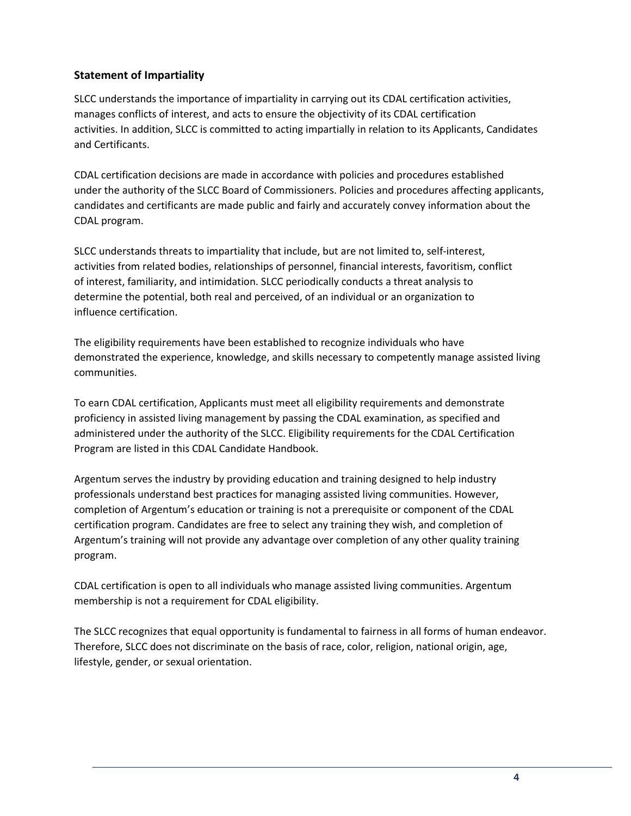## **Statement of Impartiality**

SLCC understands the importance of impartiality in carrying out its CDAL certification activities, manages conflicts of interest, and acts to ensure the objectivity of its CDAL certification activities. In addition, SLCC is committed to acting impartially in relation to its Applicants, Candidates and Certificants.

CDAL certification decisions are made in accordance with policies and procedures established under the authority of the SLCC Board of Commissioners. Policies and procedures affecting applicants, candidates and certificants are made public and fairly and accurately convey information about the CDAL program.

SLCC understands threats to impartiality that include, but are not limited to, self‐interest, activities from related bodies, relationships of personnel, financial interests, favoritism, conflict of interest, familiarity, and intimidation. SLCC periodically conducts a threat analysis to determine the potential, both real and perceived, of an individual or an organization to influence certification.

The eligibility requirements have been established to recognize individuals who have demonstrated the experience, knowledge, and skills necessary to competently manage assisted living communities.

To earn CDAL certification, Applicants must meet all eligibility requirements and demonstrate proficiency in assisted living management by passing the CDAL examination, as specified and administered under the authority of the SLCC. Eligibility requirements for the CDAL Certification Program are listed in this CDAL Candidate Handbook.

Argentum serves the industry by providing education and training designed to help industry professionals understand best practices for managing assisted living communities. However, completion of Argentum's education or training is not a prerequisite or component of the CDAL certification program. Candidates are free to select any training they wish, and completion of Argentum's training will not provide any advantage over completion of any other quality training program.

CDAL certification is open to all individuals who manage assisted living communities. Argentum membership is not a requirement for CDAL eligibility.

The SLCC recognizes that equal opportunity is fundamental to fairness in all forms of human endeavor. Therefore, SLCC does not discriminate on the basis of race, color, religion, national origin, age, lifestyle, gender, or sexual orientation.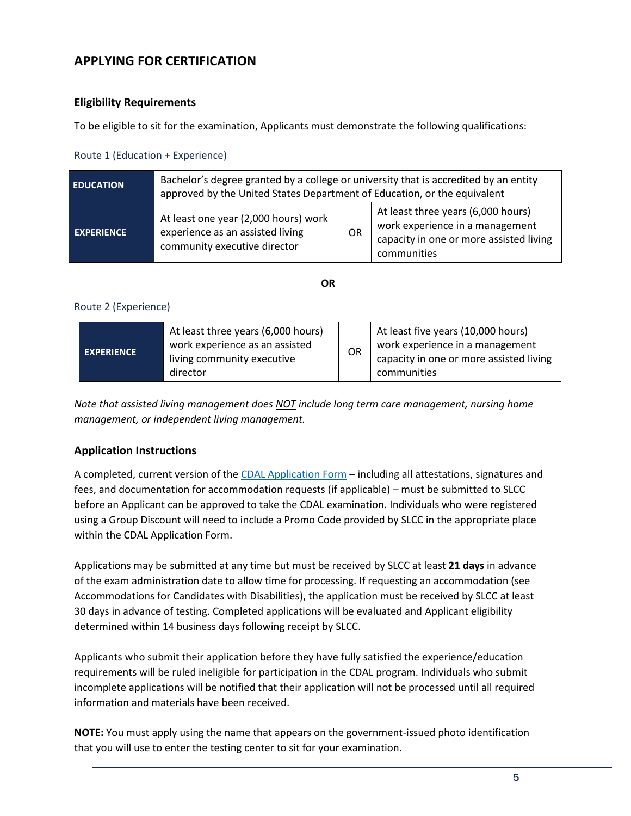## **APPLYING FOR CERTIFICATION**

#### **Eligibility Requirements**

To be eligible to sit for the examination, Applicants must demonstrate the following qualifications:

#### Route 1 (Education + Experience)

| <b>EDUCATION</b>  | Bachelor's degree granted by a college or university that is accredited by an entity<br>approved by the United States Department of Education, or the equivalent |    |                                                                                                                                 |
|-------------------|------------------------------------------------------------------------------------------------------------------------------------------------------------------|----|---------------------------------------------------------------------------------------------------------------------------------|
| <b>EXPERIENCE</b> | At least one year (2,000 hours) work<br>experience as an assisted living<br>community executive director                                                         | 0R | At least three years (6,000 hours)<br>work experience in a management<br>capacity in one or more assisted living<br>communities |

**OR**

#### Route 2 (Experience)

| <b>EXPERIENCE</b> | At least three years (6,000 hours)<br>work experience as an assisted<br>living community executive<br>director | OR | At least five years (10,000 hours)<br>work experience in a management<br>capacity in one or more assisted living<br>communities |
|-------------------|----------------------------------------------------------------------------------------------------------------|----|---------------------------------------------------------------------------------------------------------------------------------|
|-------------------|----------------------------------------------------------------------------------------------------------------|----|---------------------------------------------------------------------------------------------------------------------------------|

*Note that assisted living management does NOT include long term care management, nursing home management, or independent living management.*

## **Application Instructions**

A completed, current version of the [CDAL Application Form](https://www.slcccertification.org/apply/) – including all attestations, signatures and fees, and documentation for accommodation requests (if applicable) – must be submitted to SLCC before an Applicant can be approved to take the CDAL examination. Individuals who were registered using a Group Discount will need to include a Promo Code provided by SLCC in the appropriate place within the CDAL Application Form.

Applications may be submitted at any time but must be received by SLCC at least **21 days** in advance of the exam administration date to allow time for processing. If requesting an accommodation (see Accommodations for Candidates with Disabilities), the application must be received by SLCC at least 30 days in advance of testing. Completed applications will be evaluated and Applicant eligibility determined within 14 business days following receipt by SLCC.

Applicants who submit their application before they have fully satisfied the experience/education requirements will be ruled ineligible for participation in the CDAL program. Individuals who submit incomplete applications will be notified that their application will not be processed until all required information and materials have been received.

**NOTE:** You must apply using the name that appears on the government-issued photo identification that you will use to enter the testing center to sit for your examination.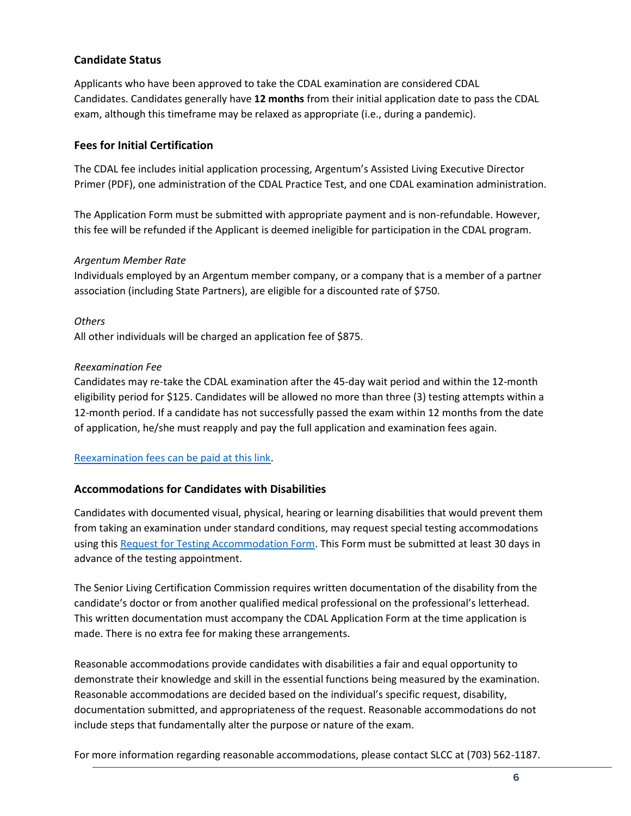#### **Candidate Status**

Applicants who have been approved to take the CDAL examination are considered CDAL Candidates. Candidates generally have **12 months** from their initial application date to pass the CDAL exam, although this timeframe may be relaxed as appropriate (i.e., during a pandemic).

#### **Fees for Initial Certification**

The CDAL fee includes initial application processing, Argentum's Assisted Living Executive Director Primer (PDF), one administration of the CDAL Practice Test, and one CDAL examination administration.

The Application Form must be submitted with appropriate payment and is non-refundable. However, this fee will be refunded if the Applicant is deemed ineligible for participation in the CDAL program.

#### *Argentum Member Rate*

Individuals employed by an Argentum member company, or a company that is a member of a partner association (including State Partners), are eligible for a discounted rate of \$750.

#### *Others*

All other individuals will be charged an application fee of \$875.

#### *Reexamination Fee*

Candidates may re-take the CDAL examination after the 45-day wait period and within the 12-month eligibility period for \$125. Candidates will be allowed no more than three (3) testing attempts within a 12-month period. If a candidate has not successfully passed the exam within 12 months from the date of application, he/she must reapply and pay the full application and examination fees again.

#### [Reexamination fees can be paid at this link.](https://www.slcccertification.org/re-examination/)

#### **Accommodations for Candidates with Disabilities**

Candidates with documented visual, physical, hearing or learning disabilities that would prevent them from taking an examination under standard conditions, may request special testing accommodations using this [Request for Testing Accommodation Form.](https://www.slcccertification.org/wp-content/uploads/2019/01/Request-for-Accommodation-Form.pdf) This Form must be submitted at least 30 days in advance of the testing appointment.

The Senior Living Certification Commission requires written documentation of the disability from the candidate's doctor or from another qualified medical professional on the professional's letterhead. This written documentation must accompany the CDAL Application Form at the time application is made. There is no extra fee for making these arrangements.

Reasonable accommodations provide candidates with disabilities a fair and equal opportunity to demonstrate their knowledge and skill in the essential functions being measured by the examination. Reasonable accommodations are decided based on the individual's specific request, disability, documentation submitted, and appropriateness of the request. Reasonable accommodations do not include steps that fundamentally alter the purpose or nature of the exam.

For more information regarding reasonable accommodations, please contact SLCC at (703) 562-1187.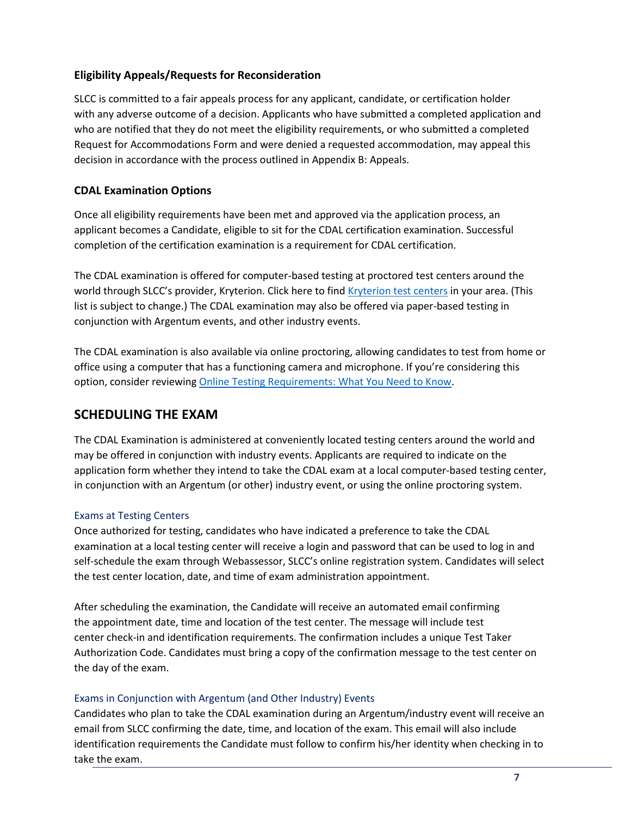#### **Eligibility Appeals/Requests for Reconsideration**

SLCC is committed to a fair appeals process for any applicant, candidate, or certification holder with any adverse outcome of a decision. Applicants who have submitted a completed application and who are notified that they do not meet the eligibility requirements, or who submitted a completed Request for Accommodations Form and were denied a requested accommodation, may appeal this decision in accordance with the process outlined in Appendix B: Appeals.

#### **CDAL Examination Options**

Once all eligibility requirements have been met and approved via the application process, an applicant becomes a Candidate, eligible to sit for the CDAL certification examination. Successful completion of the certification examination is a requirement for CDAL certification.

The CDAL examination is offered for computer-based testing at proctored test centers around the world through SLCC's provider, Kryterion. Click here to find [Kryterion test centers](https://www.kryteriononline.com/Locate-Test-Center) in your area. (This list is subject to change.) The CDAL examination may also be offered via paper-based testing in conjunction with Argentum events, and other industry events.

The CDAL examination is also available via online proctoring, allowing candidates to test from home or office using a computer that has a functioning camera and microphone. If you're considering this option, consider reviewing [Online Testing Requirements: What You Need to Know.](https://kryterion.force.com/support/s/article/Online-Testing-Requirements?language=en_US)

## **SCHEDULING THE EXAM**

The CDAL Examination is administered at conveniently located testing centers around the world and may be offered in conjunction with industry events. Applicants are required to indicate on the application form whether they intend to take the CDAL exam at a local computer-based testing center, in conjunction with an Argentum (or other) industry event, or using the online proctoring system.

#### Exams at Testing Centers

Once authorized for testing, candidates who have indicated a preference to take the CDAL examination at a local testing center will receive a login and password that can be used to log in and self‐schedule the exam through Webassessor, SLCC's online registration system. Candidates will select the test center location, date, and time of exam administration appointment.

After scheduling the examination, the Candidate will receive an automated email confirming the appointment date, time and location of the test center. The message will include test center check‐in and identification requirements. The confirmation includes a unique Test Taker Authorization Code. Candidates must bring a copy of the confirmation message to the test center on the day of the exam.

#### Exams in Conjunction with Argentum (and Other Industry) Events

Candidates who plan to take the CDAL examination during an Argentum/industry event will receive an email from SLCC confirming the date, time, and location of the exam. This email will also include identification requirements the Candidate must follow to confirm his/her identity when checking in to take the exam.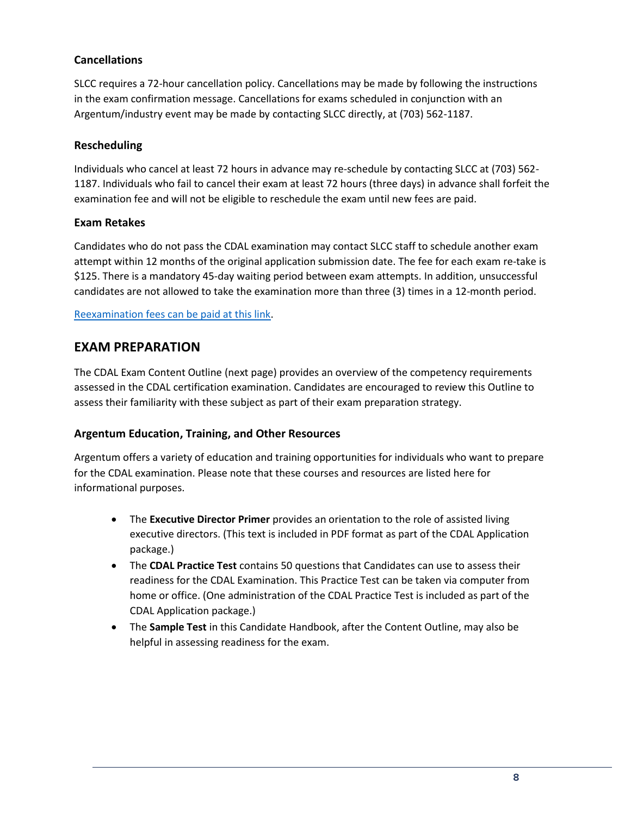## **Cancellations**

SLCC requires a 72‐hour cancellation policy. Cancellations may be made by following the instructions in the exam confirmation message. Cancellations for exams scheduled in conjunction with an Argentum/industry event may be made by contacting SLCC directly, at (703) 562-1187.

#### **Rescheduling**

Individuals who cancel at least 72 hours in advance may re‐schedule by contacting SLCC at (703) 562- 1187. Individuals who fail to cancel their exam at least 72 hours (three days) in advance shall forfeit the examination fee and will not be eligible to reschedule the exam until new fees are paid.

#### **Exam Retakes**

Candidates who do not pass the CDAL examination may contact SLCC staff to schedule another exam attempt within 12 months of the original application submission date. The fee for each exam re-take is \$125. There is a mandatory 45‐day waiting period between exam attempts. In addition, unsuccessful candidates are not allowed to take the examination more than three (3) times in a 12‐month period.

#### [Reexamination fees can be paid at this link.](https://www.slcccertification.org/re-examination/)

## **EXAM PREPARATION**

The CDAL Exam Content Outline (next page) provides an overview of the competency requirements assessed in the CDAL certification examination. Candidates are encouraged to review this Outline to assess their familiarity with these subject as part of their exam preparation strategy.

#### **Argentum Education, Training, and Other Resources**

Argentum offers a variety of education and training opportunities for individuals who want to prepare for the CDAL examination. Please note that these courses and resources are listed here for informational purposes.

- The **Executive Director Primer** provides an orientation to the role of assisted living executive directors. (This text is included in PDF format as part of the CDAL Application package.)
- The **CDAL Practice Test** contains 50 questions that Candidates can use to assess their readiness for the CDAL Examination. This Practice Test can be taken via computer from home or office. (One administration of the CDAL Practice Test is included as part of the CDAL Application package.)
- The **Sample Test** in this Candidate Handbook, after the Content Outline, may also be helpful in assessing readiness for the exam.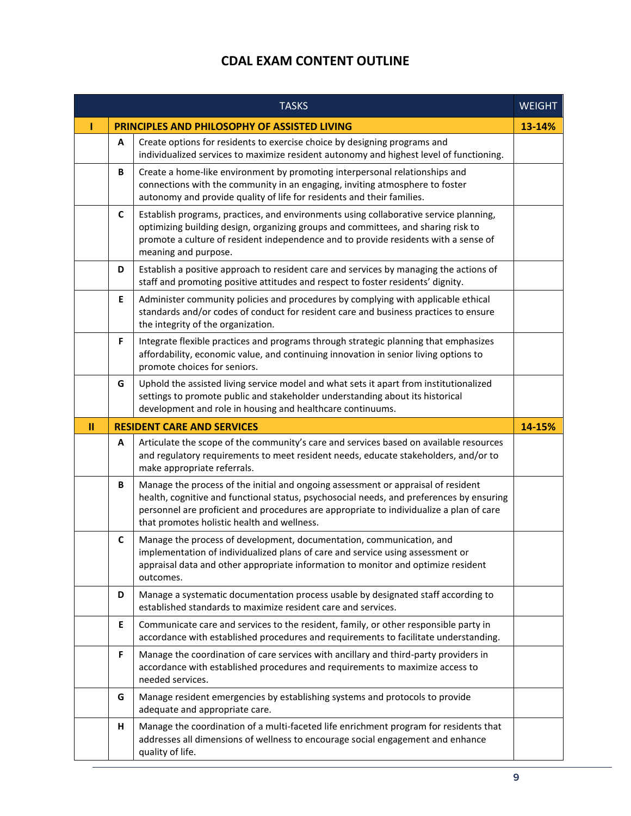## **CDAL EXAM CONTENT OUTLINE**

|               |    | <b>TASKS</b>                                                                                                                                                                                                                                                                                                            | <b>WEIGHT</b> |
|---------------|----|-------------------------------------------------------------------------------------------------------------------------------------------------------------------------------------------------------------------------------------------------------------------------------------------------------------------------|---------------|
|               |    | PRINCIPLES AND PHILOSOPHY OF ASSISTED LIVING                                                                                                                                                                                                                                                                            | 13-14%        |
|               | A  | Create options for residents to exercise choice by designing programs and<br>individualized services to maximize resident autonomy and highest level of functioning.                                                                                                                                                    |               |
|               | В  | Create a home-like environment by promoting interpersonal relationships and<br>connections with the community in an engaging, inviting atmosphere to foster<br>autonomy and provide quality of life for residents and their families.                                                                                   |               |
|               | C  | Establish programs, practices, and environments using collaborative service planning,<br>optimizing building design, organizing groups and committees, and sharing risk to<br>promote a culture of resident independence and to provide residents with a sense of<br>meaning and purpose.                               |               |
|               | D  | Establish a positive approach to resident care and services by managing the actions of<br>staff and promoting positive attitudes and respect to foster residents' dignity.                                                                                                                                              |               |
|               | E  | Administer community policies and procedures by complying with applicable ethical<br>standards and/or codes of conduct for resident care and business practices to ensure<br>the integrity of the organization.                                                                                                         |               |
|               | F  | Integrate flexible practices and programs through strategic planning that emphasizes<br>affordability, economic value, and continuing innovation in senior living options to<br>promote choices for seniors.                                                                                                            |               |
|               | G  | Uphold the assisted living service model and what sets it apart from institutionalized<br>settings to promote public and stakeholder understanding about its historical<br>development and role in housing and healthcare continuums.                                                                                   |               |
| $\mathbf{II}$ |    | <b>RESIDENT CARE AND SERVICES</b>                                                                                                                                                                                                                                                                                       | 14-15%        |
|               | A  | Articulate the scope of the community's care and services based on available resources<br>and regulatory requirements to meet resident needs, educate stakeholders, and/or to<br>make appropriate referrals.                                                                                                            |               |
|               | В  | Manage the process of the initial and ongoing assessment or appraisal of resident<br>health, cognitive and functional status, psychosocial needs, and preferences by ensuring<br>personnel are proficient and procedures are appropriate to individualize a plan of care<br>that promotes holistic health and wellness. |               |
|               | C  | Manage the process of development, documentation, communication, and<br>implementation of individualized plans of care and service using assessment or<br>appraisal data and other appropriate information to monitor and optimize resident<br>outcomes.                                                                |               |
|               | D  | Manage a systematic documentation process usable by designated staff according to<br>established standards to maximize resident care and services.                                                                                                                                                                      |               |
|               | E. | Communicate care and services to the resident, family, or other responsible party in<br>accordance with established procedures and requirements to facilitate understanding.                                                                                                                                            |               |
|               | F  | Manage the coordination of care services with ancillary and third-party providers in<br>accordance with established procedures and requirements to maximize access to<br>needed services.                                                                                                                               |               |
|               | G  | Manage resident emergencies by establishing systems and protocols to provide<br>adequate and appropriate care.                                                                                                                                                                                                          |               |
|               | н  | Manage the coordination of a multi-faceted life enrichment program for residents that<br>addresses all dimensions of wellness to encourage social engagement and enhance<br>quality of life.                                                                                                                            |               |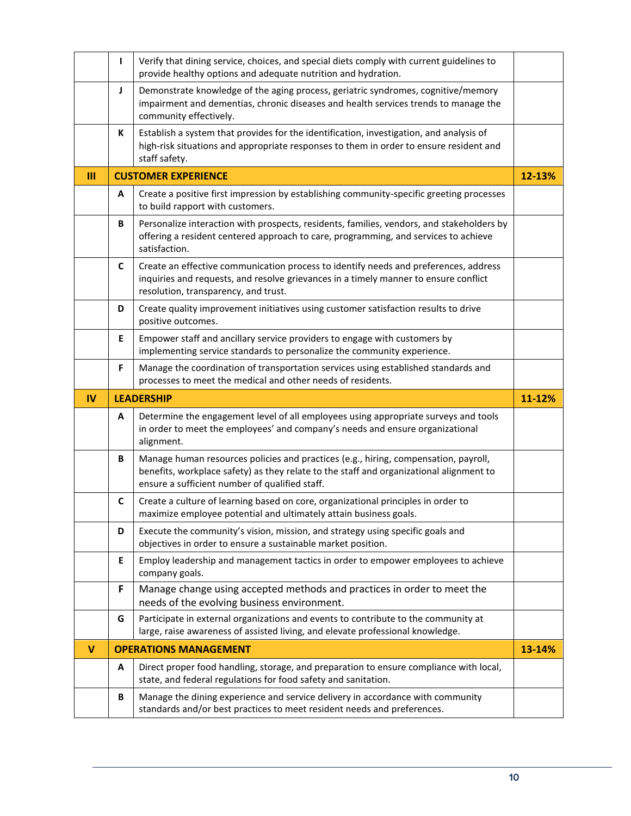|              | L                                                                                                                                                                                                       | Verify that dining service, choices, and special diets comply with current guidelines to<br>provide healthy options and adequate nutrition and hydration.                                                                        |        |  |  |
|--------------|---------------------------------------------------------------------------------------------------------------------------------------------------------------------------------------------------------|----------------------------------------------------------------------------------------------------------------------------------------------------------------------------------------------------------------------------------|--------|--|--|
|              | J                                                                                                                                                                                                       | Demonstrate knowledge of the aging process, geriatric syndromes, cognitive/memory<br>impairment and dementias, chronic diseases and health services trends to manage the<br>community effectively.                               |        |  |  |
|              | Establish a system that provides for the identification, investigation, and analysis of<br>К<br>high-risk situations and appropriate responses to them in order to ensure resident and<br>staff safety. |                                                                                                                                                                                                                                  |        |  |  |
| $\mathbf{m}$ |                                                                                                                                                                                                         | <b>CUSTOMER EXPERIENCE</b><br>12-13%                                                                                                                                                                                             |        |  |  |
|              | A                                                                                                                                                                                                       | Create a positive first impression by establishing community-specific greeting processes<br>to build rapport with customers.                                                                                                     |        |  |  |
|              | В                                                                                                                                                                                                       | Personalize interaction with prospects, residents, families, vendors, and stakeholders by<br>offering a resident centered approach to care, programming, and services to achieve<br>satisfaction.                                |        |  |  |
|              | C                                                                                                                                                                                                       | Create an effective communication process to identify needs and preferences, address<br>inquiries and requests, and resolve grievances in a timely manner to ensure conflict<br>resolution, transparency, and trust.             |        |  |  |
|              | D                                                                                                                                                                                                       | Create quality improvement initiatives using customer satisfaction results to drive<br>positive outcomes.                                                                                                                        |        |  |  |
|              | Е                                                                                                                                                                                                       | Empower staff and ancillary service providers to engage with customers by<br>implementing service standards to personalize the community experience.                                                                             |        |  |  |
|              | F                                                                                                                                                                                                       | Manage the coordination of transportation services using established standards and<br>processes to meet the medical and other needs of residents.                                                                                |        |  |  |
|              |                                                                                                                                                                                                         | <b>LEADERSHIP</b>                                                                                                                                                                                                                |        |  |  |
| <b>IV</b>    |                                                                                                                                                                                                         |                                                                                                                                                                                                                                  | 11-12% |  |  |
|              | A                                                                                                                                                                                                       | Determine the engagement level of all employees using appropriate surveys and tools<br>in order to meet the employees' and company's needs and ensure organizational<br>alignment.                                               |        |  |  |
|              | В                                                                                                                                                                                                       | Manage human resources policies and practices (e.g., hiring, compensation, payroll,<br>benefits, workplace safety) as they relate to the staff and organizational alignment to<br>ensure a sufficient number of qualified staff. |        |  |  |
|              | C                                                                                                                                                                                                       | Create a culture of learning based on core, organizational principles in order to<br>maximize employee potential and ultimately attain business goals.                                                                           |        |  |  |
|              | D                                                                                                                                                                                                       | Execute the community's vision, mission, and strategy using specific goals and<br>objectives in order to ensure a sustainable market position.                                                                                   |        |  |  |
|              | Е                                                                                                                                                                                                       | Employ leadership and management tactics in order to empower employees to achieve<br>company goals.                                                                                                                              |        |  |  |
|              | F                                                                                                                                                                                                       | Manage change using accepted methods and practices in order to meet the<br>needs of the evolving business environment.                                                                                                           |        |  |  |
|              | G                                                                                                                                                                                                       | Participate in external organizations and events to contribute to the community at<br>large, raise awareness of assisted living, and elevate professional knowledge.                                                             |        |  |  |
| $\mathbf v$  |                                                                                                                                                                                                         | <b>OPERATIONS MANAGEMENT</b>                                                                                                                                                                                                     | 13-14% |  |  |
|              | Α                                                                                                                                                                                                       | Direct proper food handling, storage, and preparation to ensure compliance with local,<br>state, and federal regulations for food safety and sanitation.                                                                         |        |  |  |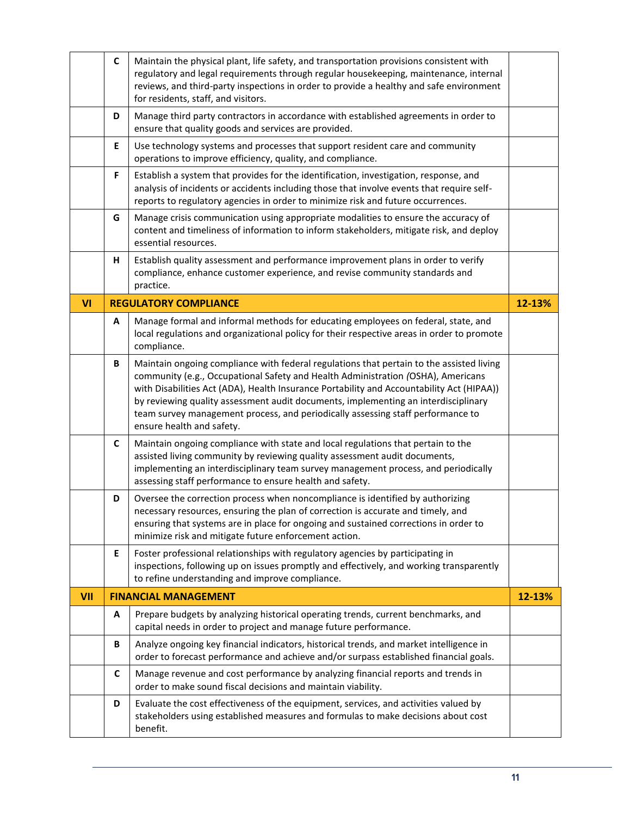|            | C            | Maintain the physical plant, life safety, and transportation provisions consistent with<br>regulatory and legal requirements through regular housekeeping, maintenance, internal<br>reviews, and third-party inspections in order to provide a healthy and safe environment<br>for residents, staff, and visitors.                                                                                                                                                              |        |
|------------|--------------|---------------------------------------------------------------------------------------------------------------------------------------------------------------------------------------------------------------------------------------------------------------------------------------------------------------------------------------------------------------------------------------------------------------------------------------------------------------------------------|--------|
|            | D            | Manage third party contractors in accordance with established agreements in order to<br>ensure that quality goods and services are provided.                                                                                                                                                                                                                                                                                                                                    |        |
|            | E            | Use technology systems and processes that support resident care and community<br>operations to improve efficiency, quality, and compliance.                                                                                                                                                                                                                                                                                                                                     |        |
|            | F            | Establish a system that provides for the identification, investigation, response, and<br>analysis of incidents or accidents including those that involve events that require self-<br>reports to regulatory agencies in order to minimize risk and future occurrences.                                                                                                                                                                                                          |        |
|            | G            | Manage crisis communication using appropriate modalities to ensure the accuracy of<br>content and timeliness of information to inform stakeholders, mitigate risk, and deploy<br>essential resources.                                                                                                                                                                                                                                                                           |        |
|            | н            | Establish quality assessment and performance improvement plans in order to verify<br>compliance, enhance customer experience, and revise community standards and<br>practice.                                                                                                                                                                                                                                                                                                   |        |
| VI         |              | <b>REGULATORY COMPLIANCE</b>                                                                                                                                                                                                                                                                                                                                                                                                                                                    | 12-13% |
|            | A            | Manage formal and informal methods for educating employees on federal, state, and<br>local regulations and organizational policy for their respective areas in order to promote<br>compliance.                                                                                                                                                                                                                                                                                  |        |
|            | В            | Maintain ongoing compliance with federal regulations that pertain to the assisted living<br>community (e.g., Occupational Safety and Health Administration (OSHA), Americans<br>with Disabilities Act (ADA), Health Insurance Portability and Accountability Act (HIPAA))<br>by reviewing quality assessment audit documents, implementing an interdisciplinary<br>team survey management process, and periodically assessing staff performance to<br>ensure health and safety. |        |
|            | $\mathsf{C}$ | Maintain ongoing compliance with state and local regulations that pertain to the<br>assisted living community by reviewing quality assessment audit documents,<br>implementing an interdisciplinary team survey management process, and periodically<br>assessing staff performance to ensure health and safety.                                                                                                                                                                |        |
|            | D            | Oversee the correction process when noncompliance is identified by authorizing<br>necessary resources, ensuring the plan of correction is accurate and timely, and<br>ensuring that systems are in place for ongoing and sustained corrections in order to<br>minimize risk and mitigate future enforcement action.                                                                                                                                                             |        |
|            | Е            | Foster professional relationships with regulatory agencies by participating in<br>inspections, following up on issues promptly and effectively, and working transparently<br>to refine understanding and improve compliance.                                                                                                                                                                                                                                                    |        |
| <b>VII</b> |              | <b>FINANCIAL MANAGEMENT</b>                                                                                                                                                                                                                                                                                                                                                                                                                                                     | 12-13% |
|            | Α            | Prepare budgets by analyzing historical operating trends, current benchmarks, and<br>capital needs in order to project and manage future performance.                                                                                                                                                                                                                                                                                                                           |        |
|            | В            | Analyze ongoing key financial indicators, historical trends, and market intelligence in<br>order to forecast performance and achieve and/or surpass established financial goals.                                                                                                                                                                                                                                                                                                |        |
|            | C            | Manage revenue and cost performance by analyzing financial reports and trends in<br>order to make sound fiscal decisions and maintain viability.                                                                                                                                                                                                                                                                                                                                |        |
|            | D            | Evaluate the cost effectiveness of the equipment, services, and activities valued by<br>stakeholders using established measures and formulas to make decisions about cost<br>benefit.                                                                                                                                                                                                                                                                                           |        |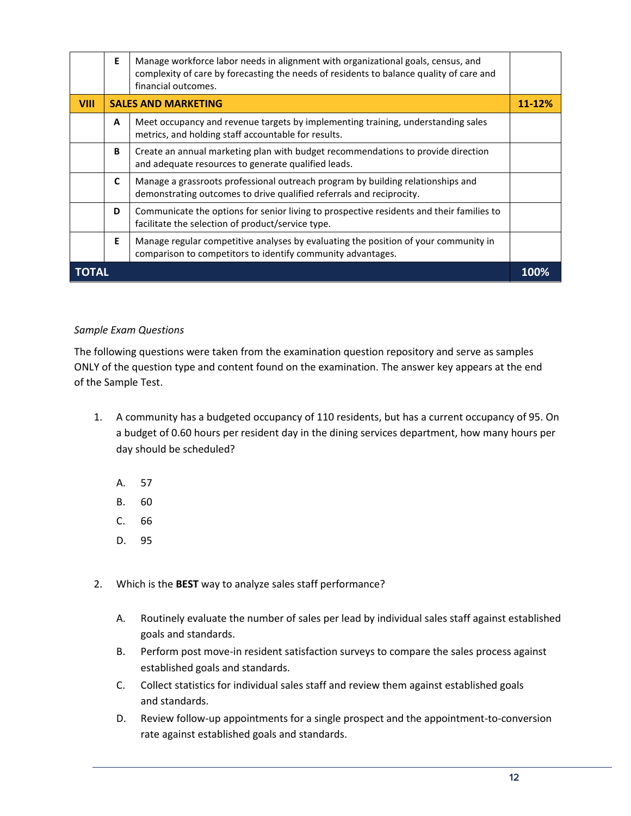|      | Е                                        | Manage workforce labor needs in alignment with organizational goals, census, and<br>complexity of care by forecasting the needs of residents to balance quality of care and<br>financial outcomes. |      |
|------|------------------------------------------|----------------------------------------------------------------------------------------------------------------------------------------------------------------------------------------------------|------|
| VIII | <b>SALES AND MARKETING</b><br>$11 - 12%$ |                                                                                                                                                                                                    |      |
|      | A                                        | Meet occupancy and revenue targets by implementing training, understanding sales<br>metrics, and holding staff accountable for results.                                                            |      |
|      | B                                        | Create an annual marketing plan with budget recommendations to provide direction<br>and adequate resources to generate qualified leads.                                                            |      |
|      | C                                        | Manage a grassroots professional outreach program by building relationships and<br>demonstrating outcomes to drive qualified referrals and reciprocity.                                            |      |
|      | D                                        | Communicate the options for senior living to prospective residents and their families to<br>facilitate the selection of product/service type.                                                      |      |
|      | E                                        | Manage regular competitive analyses by evaluating the position of your community in<br>comparison to competitors to identify community advantages.                                                 |      |
|      |                                          |                                                                                                                                                                                                    | 100% |

#### <span id="page-11-1"></span><span id="page-11-0"></span>*Sample Exam Questions*

The following questions were taken from the examination question repository and serve as samples ONLY of the question type and content found on the examination. The answer key appears at the end of the Sample Test.

- 1. A community has a budgeted occupancy of 110 residents, but has a current occupancy of 95. On a budget of 0.60 hours per resident day in the dining services department, how many hours per day should be scheduled?
	- A. 57
	- B. 60
	- C. 66
	- D. 95
- 2. Which is the **BEST** way to analyze sales staff performance?
	- A. Routinely evaluate the number of sales per lead by individual sales staff against established goals and standards.
	- B. Perform post move-in resident satisfaction surveys to compare the sales process against established goals and standards.
	- C. Collect statistics for individual sales staff and review them against established goals and standards.
	- D. Review follow-up appointments for a single prospect and the appointment-to-conversion rate against established goals and standards.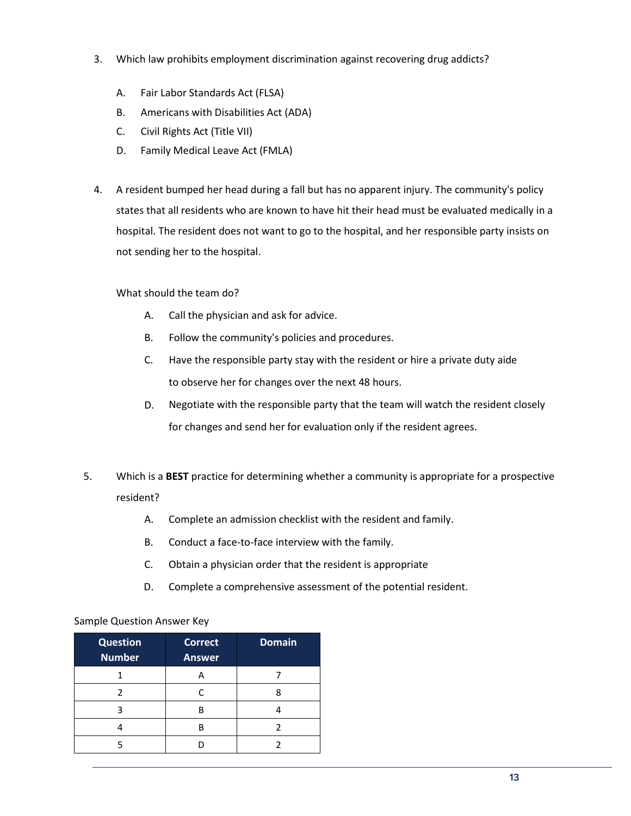- 3. Which law prohibits employment discrimination against recovering drug addicts?
	- A. Fair Labor Standards Act (FLSA)
	- B. Americans with Disabilities Act (ADA)
	- C. Civil Rights Act (Title VII)
	- D. Family Medical Leave Act (FMLA)
- 4. A resident bumped her head during a fall but has no apparent injury. The community's policy states that all residents who are known to have hit their head must be evaluated medically in a hospital. The resident does not want to go to the hospital, and her responsible party insists on not sending her to the hospital.

#### What should the team do?

- A. Call the physician and ask for advice.
- B. Follow the community's policies and procedures.
- C. Have the responsible party stay with the resident or hire a private duty aide to observe her for changes over the next 48 hours.
- D. Negotiate with the responsible party that the team will watch the resident closely for changes and send her for evaluation only if the resident agrees.
- 5. Which is a **BEST** practice for determining whether a community is appropriate for a prospective resident?
	- A. Complete an admission checklist with the resident and family.
	- B. Conduct a face-to-face interview with the family.
	- C. Obtain a physician order that the resident is appropriate
	- D. Complete a comprehensive assessment of the potential resident.

#### Sample Question Answer Key

| <b>Question</b><br><b>Number</b> | <b>Correct</b><br>Answer | <b>Domain</b> |
|----------------------------------|--------------------------|---------------|
|                                  |                          |               |
|                                  |                          |               |
|                                  | R                        |               |
|                                  | R                        |               |
|                                  |                          |               |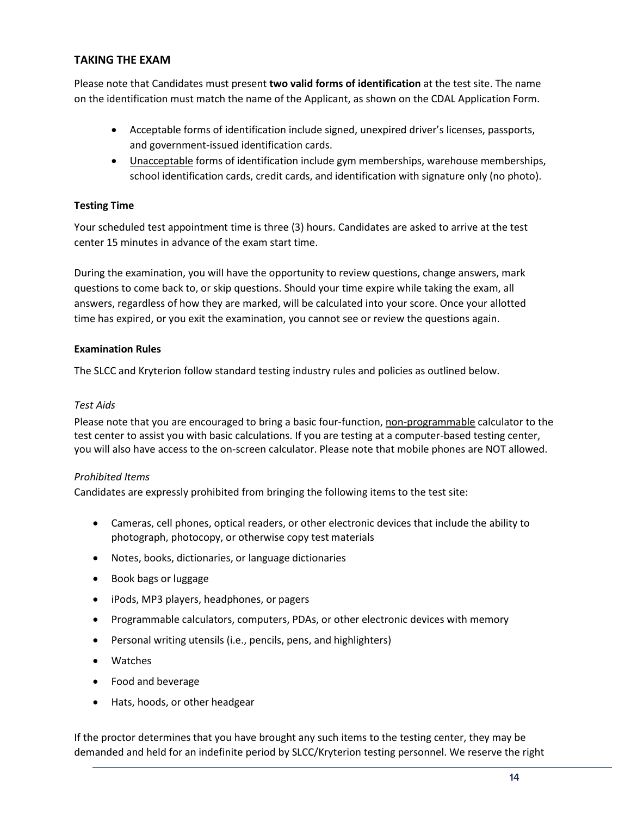#### **TAKING THE EXAM**

<span id="page-13-0"></span>Please note that Candidates must present **two valid forms of identification** at the test site. The name on the identification must match the name of the Applicant, as shown on the CDAL Application Form.

- Acceptable forms of identification include signed, unexpired driver's licenses, passports, and government-issued identification cards.
- <span id="page-13-1"></span>• Unacceptable forms of identification include gym memberships, warehouse memberships, school identification cards, credit cards, and identification with signature only (no photo).

#### **Testing Time**

Your scheduled test appointment time is three (3) hours. Candidates are asked to arrive at the test center 15 minutes in advance of the exam start time.

During the examination, you will have the opportunity to review questions, change answers, mark questions to come back to, or skip questions. Should your time expire while taking the exam, all answers, regardless of how they are marked, will be calculated into your score. Once your allotted time has expired, or you exit the examination, you cannot see or review the questions again.

#### **Examination Rules**

The SLCC and Kryterion follow standard testing industry rules and policies as outlined below.

#### *Test Aids*

Please note that you are encouraged to bring a basic four-function, non-programmable calculator to the test center to assist you with basic calculations. If you are testing at a computer-based testing center, you will also have access to the on-screen calculator. Please note that mobile phones are NOT allowed.

#### *Prohibited Items*

Candidates are expressly prohibited from bringing the following items to the test site:

- Cameras, cell phones, optical readers, or other electronic devices that include the ability to photograph, photocopy, or otherwise copy test materials
- Notes, books, dictionaries, or language dictionaries
- Book bags or luggage
- iPods, MP3 players, headphones, or pagers
- Programmable calculators, computers, PDAs, or other electronic devices with memory
- Personal writing utensils (i.e., pencils, pens, and highlighters)
- Watches
- Food and beverage
- Hats, hoods, or other headgear

If the proctor determines that you have brought any such items to the testing center, they may be demanded and held for an indefinite period by SLCC/Kryterion testing personnel. We reserve the right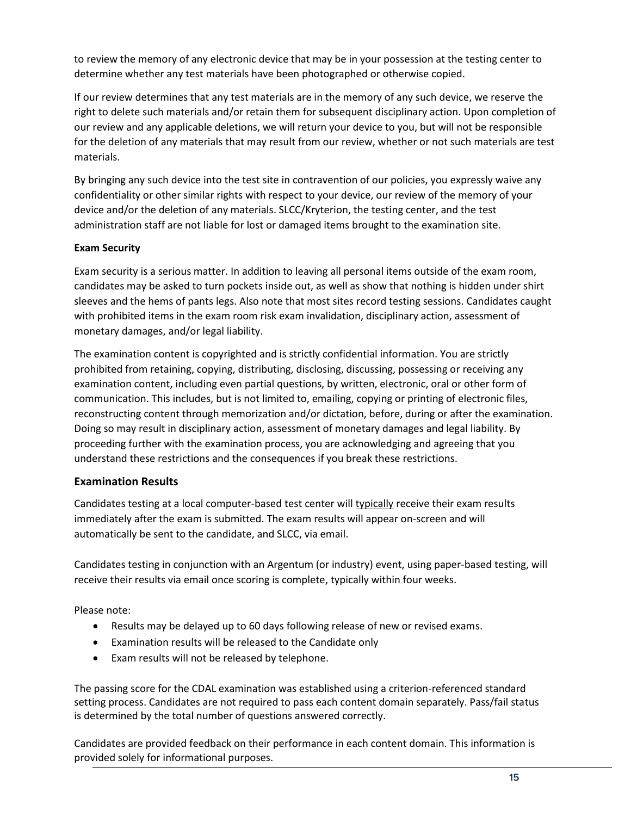to review the memory of any electronic device that may be in your possession at the testing center to determine whether any test materials have been photographed or otherwise copied.

If our review determines that any test materials are in the memory of any such device, we reserve the right to delete such materials and/or retain them for subsequent disciplinary action. Upon completion of our review and any applicable deletions, we will return your device to you, but will not be responsible for the deletion of any materials that may result from our review, whether or not such materials are test materials.

By bringing any such device into the test site in contravention of our policies, you expressly waive any confidentiality or other similar rights with respect to your device, our review of the memory of your device and/or the deletion of any materials. SLCC/Kryterion, the testing center, and the test administration staff are not liable for lost or damaged items brought to the examination site.

#### **Exam Security**

Exam security is a serious matter. In addition to leaving all personal items outside of the exam room, candidates may be asked to turn pockets inside out, as well as show that nothing is hidden under shirt sleeves and the hems of pants legs. Also note that most sites record testing sessions. Candidates caught with prohibited items in the exam room risk exam invalidation, disciplinary action, assessment of monetary damages, and/or legal liability.

The examination content is copyrighted and is strictly confidential information. You are strictly prohibited from retaining, copying, distributing, disclosing, discussing, possessing or receiving any examination content, including even partial questions, by written, electronic, oral or other form of communication. This includes, but is not limited to, emailing, copying or printing of electronic files, reconstructing content through memorization and/or dictation, before, during or after the examination. Doing so may result in disciplinary action, assessment of monetary damages and legal liability. By proceeding further with the examination process, you are acknowledging and agreeing that you understand these restrictions and the consequences if you break these restrictions.

## **Examination Results**

Candidates testing at a local computer-based test center will typically receive their exam results immediately after the exam is submitted. The exam results will appear on-screen and will automatically be sent to the candidate, and SLCC, via email.

Candidates testing in conjunction with an Argentum (or industry) event, using paper-based testing, will receive their results via email once scoring is complete, typically within four weeks.

Please note:

- Results may be delayed up to 60 days following release of new or revised exams.
- Examination results will be released to the Candidate only
- Exam results will not be released by telephone.

The passing score for the CDAL examination was established using a criterion-referenced standard setting process. Candidates are not required to pass each content domain separately. Pass/fail status is determined by the total number of questions answered correctly.

Candidates are provided feedback on their performance in each content domain. This information is provided solely for informational purposes.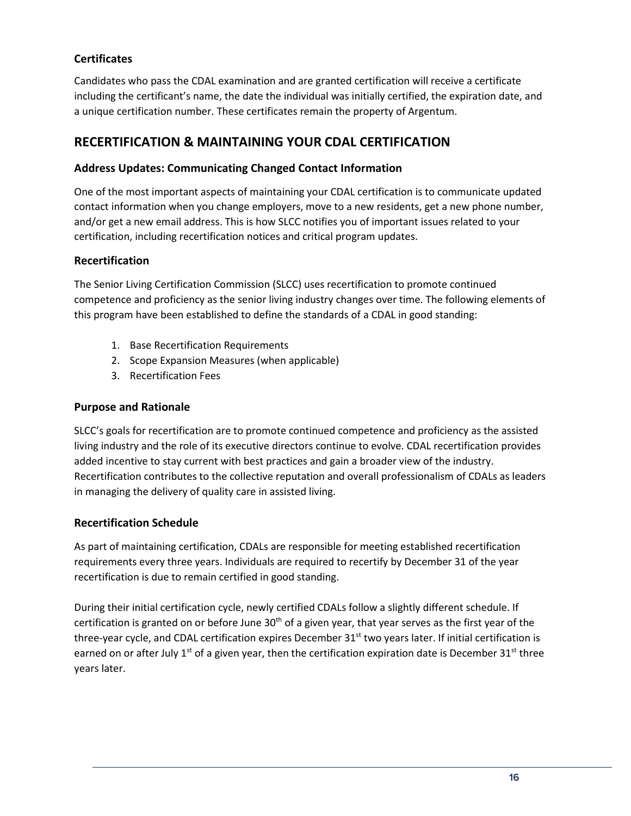## **Certificates**

Candidates who pass the CDAL examination and are granted certification will receive a certificate including the certificant's name, the date the individual was initially certified, the expiration date, and a unique certification number. These certificates remain the property of Argentum.

## <span id="page-15-1"></span><span id="page-15-0"></span>**RECERTIFICATION & MAINTAINING YOUR CDAL CERTIFICATION**

#### **Address Updates: Communicating Changed Contact Information**

One of the most important aspects of maintaining your CDAL certification is to communicate updated contact information when you change employers, move to a new residents, get a new phone number, and/or get a new email address. This is how SLCC notifies you of important issues related to your certification, including recertification notices and critical program updates.

#### **Recertification**

The Senior Living Certification Commission (SLCC) uses recertification to promote continued competence and proficiency as the senior living industry changes over time. The following elements of this program have been established to define the standards of a CDAL in good standing:

- 1. Base Recertification Requirements
- 2. Scope Expansion Measures (when applicable)
- 3. Recertification Fees

#### **Purpose and Rationale**

SLCC's goals for recertification are to promote continued competence and proficiency as the assisted living industry and the role of its executive directors continue to evolve. CDAL recertification provides added incentive to stay current with best practices and gain a broader view of the industry. Recertification contributes to the collective reputation and overall professionalism of CDALs as leaders in managing the delivery of quality care in assisted living.

#### **Recertification Schedule**

As part of maintaining certification, CDALs are responsible for meeting established recertification requirements every three years. Individuals are required to recertify by December 31 of the year recertification is due to remain certified in good standing.

During their initial certification cycle, newly certified CDALs follow a slightly different schedule. If certification is granted on or before June  $30<sup>th</sup>$  of a given year, that year serves as the first year of the three-year cycle, and CDAL certification expires December 31<sup>st</sup> two years later. If initial certification is earned on or after July 1<sup>st</sup> of a given year, then the certification expiration date is December  $31^{st}$  three years later.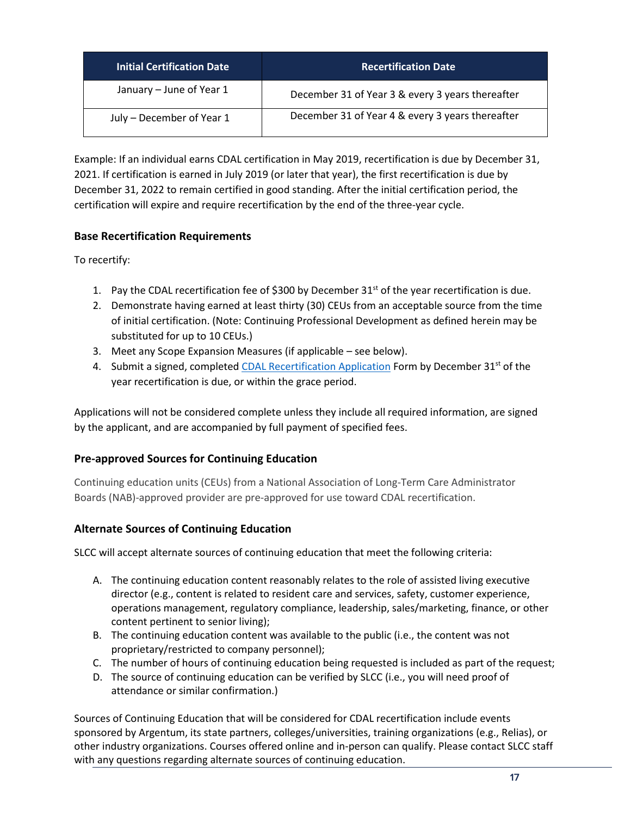| <b>Initial Certification Date</b> | <b>Recertification Date</b>                      |
|-----------------------------------|--------------------------------------------------|
| January - June of Year 1          | December 31 of Year 3 & every 3 years thereafter |
| July - December of Year 1         | December 31 of Year 4 & every 3 years thereafter |

Example: If an individual earns CDAL certification in May 2019, recertification is due by December 31, 2021. If certification is earned in July 2019 (or later that year), the first recertification is due by December 31, 2022 to remain certified in good standing. After the initial certification period, the certification will expire and require recertification by the end of the three‐year cycle.

## **Base Recertification Requirements**

To recertify:

- 1. Pay the CDAL recertification fee of \$300 by December  $31<sup>st</sup>$  of the year recertification is due.
- 2. Demonstrate having earned at least thirty (30) CEUs from an acceptable source from the time of initial certification. (Note: Continuing Professional Development as defined herein may be substituted for up to 10 CEUs.)
- 3. Meet any Scope Expansion Measures (if applicable see below).
- 4. Submit a signed, completed [CDAL Recertification Application](https://www.slcccertification.org/certification/recertification/) Form by December 31<sup>st</sup> of the year recertification is due, or within the grace period.

Applications will not be considered complete unless they include all required information, are signed by the applicant, and are accompanied by full payment of specified fees.

## **Pre-approved Sources for Continuing Education**

Continuing education units (CEUs) from a National Association of Long-Term Care Administrator Boards (NAB)-approved provider are pre-approved for use toward CDAL recertification.

## **Alternate Sources of Continuing Education**

SLCC will accept alternate sources of continuing education that meet the following criteria:

- A. The continuing education content reasonably relates to the role of assisted living executive director (e.g., content is related to resident care and services, safety, customer experience, operations management, regulatory compliance, leadership, sales/marketing, finance, or other content pertinent to senior living);
- B. The continuing education content was available to the public (i.e., the content was not proprietary/restricted to company personnel);
- C. The number of hours of continuing education being requested is included as part of the request;
- D. The source of continuing education can be verified by SLCC (i.e., you will need proof of attendance or similar confirmation.)

Sources of Continuing Education that will be considered for CDAL recertification include events sponsored by Argentum, its state partners, colleges/universities, training organizations (e.g., Relias), or other industry organizations. Courses offered online and in-person can qualify. Please contact SLCC staff with any questions regarding alternate sources of continuing education.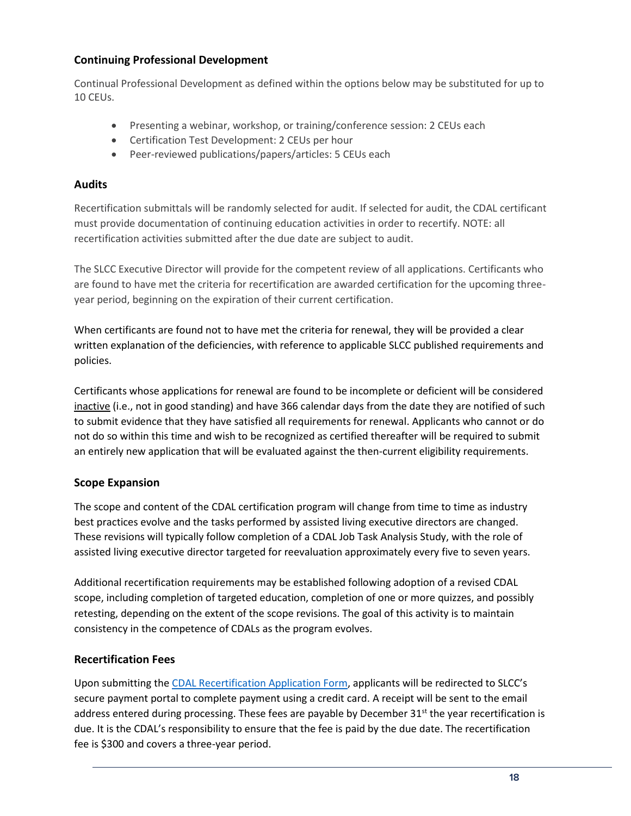#### **Continuing Professional Development**

Continual Professional Development as defined within the options below may be substituted for up to 10 CEUs.

- Presenting a webinar, workshop, or training/conference session: 2 CEUs each
- Certification Test Development: 2 CEUs per hour
- Peer-reviewed publications/papers/articles: 5 CEUs each

#### **Audits**

Recertification submittals will be randomly selected for audit. If selected for audit, the CDAL certificant must provide documentation of continuing education activities in order to recertify. NOTE: all recertification activities submitted after the due date are subject to audit.

The SLCC Executive Director will provide for the competent review of all applications. Certificants who are found to have met the criteria for recertification are awarded certification for the upcoming threeyear period, beginning on the expiration of their current certification.

When certificants are found not to have met the criteria for renewal, they will be provided a clear written explanation of the deficiencies, with reference to applicable SLCC published requirements and policies.

Certificants whose applications for renewal are found to be incomplete or deficient will be considered inactive (i.e., not in good standing) and have 366 calendar days from the date they are notified of such to submit evidence that they have satisfied all requirements for renewal. Applicants who cannot or do not do so within this time and wish to be recognized as certified thereafter will be required to submit an entirely new application that will be evaluated against the then-current eligibility requirements.

#### **Scope Expansion**

The scope and content of the CDAL certification program will change from time to time as industry best practices evolve and the tasks performed by assisted living executive directors are changed. These revisions will typically follow completion of a CDAL Job Task Analysis Study, with the role of assisted living executive director targeted for reevaluation approximately every five to seven years.

Additional recertification requirements may be established following adoption of a revised CDAL scope, including completion of targeted education, completion of one or more quizzes, and possibly retesting, depending on the extent of the scope revisions. The goal of this activity is to maintain consistency in the competence of CDALs as the program evolves.

#### **Recertification Fees**

Upon submitting the [CDAL Recertification Application Form](https://www.slcccertification.org/certification/recertification/), applicants will be redirected to SLCC's secure payment portal to complete payment using a credit card. A receipt will be sent to the email address entered during processing. These fees are payable by December 31<sup>st</sup> the year recertification is due. It is the CDAL's responsibility to ensure that the fee is paid by the due date. The recertification fee is \$300 and covers a three-year period.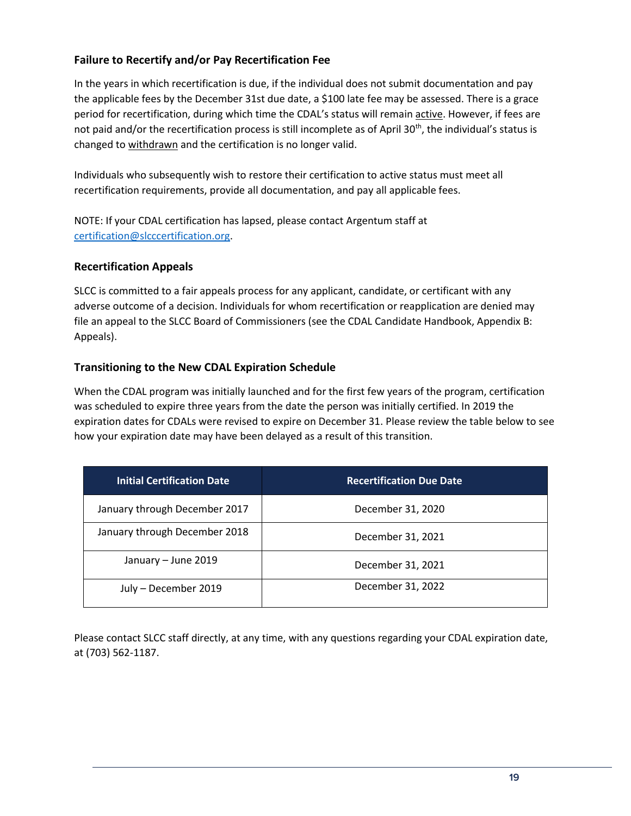## **Failure to Recertify and/or Pay Recertification Fee**

In the years in which recertification is due, if the individual does not submit documentation and pay the applicable fees by the December 31st due date, a \$100 late fee may be assessed. There is a grace period for recertification, during which time the CDAL's status will remain active. However, if fees are not paid and/or the recertification process is still incomplete as of April 30<sup>th</sup>, the individual's status is changed to withdrawn and the certification is no longer valid.

Individuals who subsequently wish to restore their certification to active status must meet all recertification requirements, provide all documentation, and pay all applicable fees.

NOTE: If your CDAL certification has lapsed, please contact Argentum staff at [certification@slcccertification.org.](mailto:certification@slcccertification.org)

#### **Recertification Appeals**

SLCC is committed to a fair appeals process for any applicant, candidate, or certificant with any adverse outcome of a decision. Individuals for whom recertification or reapplication are denied may file an appeal to the SLCC Board of Commissioners (see the CDAL Candidate Handbook, Appendix B: Appeals).

#### **Transitioning to the New CDAL Expiration Schedule**

When the CDAL program was initially launched and for the first few years of the program, certification was scheduled to expire three years from the date the person was initially certified. In 2019 the expiration dates for CDALs were revised to expire on December 31. Please review the table below to see how your expiration date may have been delayed as a result of this transition.

| <b>Initial Certification Date</b> | <b>Recertification Due Date</b> |
|-----------------------------------|---------------------------------|
| January through December 2017     | December 31, 2020               |
| January through December 2018     | December 31, 2021               |
| January - June 2019               | December 31, 2021               |
| July - December 2019              | December 31, 2022               |

Please contact SLCC staff directly, at any time, with any questions regarding your CDAL expiration date, at (703) 562-1187.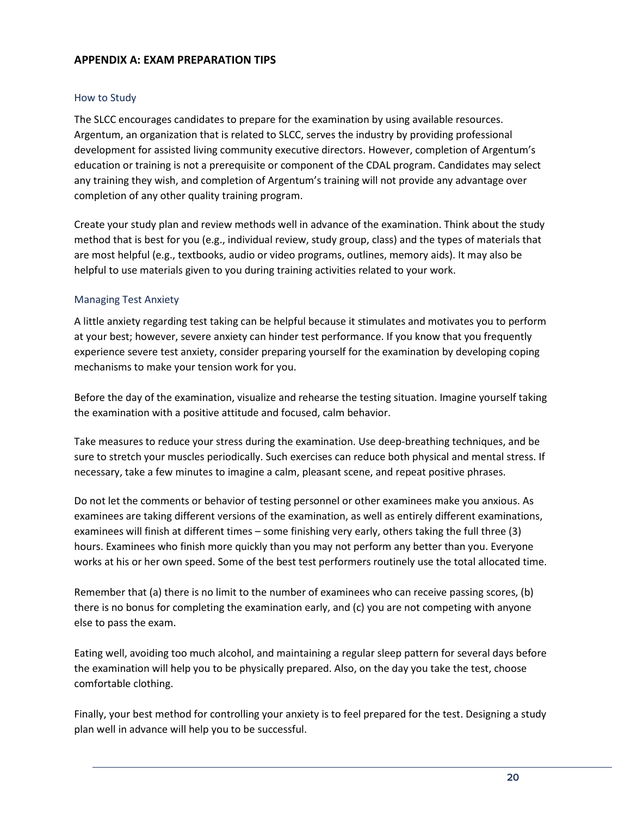#### **APPENDIX A: EXAM PREPARATION TIPS**

#### How to Study

The SLCC encourages candidates to prepare for the examination by using available resources. Argentum, an organization that is related to SLCC, serves the industry by providing professional development for assisted living community executive directors. However, completion of Argentum's education or training is not a prerequisite or component of the CDAL program. Candidates may select any training they wish, and completion of Argentum's training will not provide any advantage over completion of any other quality training program.

Create your study plan and review methods well in advance of the examination. Think about the study method that is best for you (e.g., individual review, study group, class) and the types of materials that are most helpful (e.g., textbooks, audio or video programs, outlines, memory aids). It may also be helpful to use materials given to you during training activities related to your work.

#### Managing Test Anxiety

A little anxiety regarding test taking can be helpful because it stimulates and motivates you to perform at your best; however, severe anxiety can hinder test performance. If you know that you frequently experience severe test anxiety, consider preparing yourself for the examination by developing coping mechanisms to make your tension work for you.

Before the day of the examination, visualize and rehearse the testing situation. Imagine yourself taking the examination with a positive attitude and focused, calm behavior.

Take measures to reduce your stress during the examination. Use deep-breathing techniques, and be sure to stretch your muscles periodically. Such exercises can reduce both physical and mental stress. If necessary, take a few minutes to imagine a calm, pleasant scene, and repeat positive phrases.

Do not let the comments or behavior of testing personnel or other examinees make you anxious. As examinees are taking different versions of the examination, as well as entirely different examinations, examinees will finish at different times – some finishing very early, others taking the full three (3) hours. Examinees who finish more quickly than you may not perform any better than you. Everyone works at his or her own speed. Some of the best test performers routinely use the total allocated time.

Remember that (a) there is no limit to the number of examinees who can receive passing scores, (b) there is no bonus for completing the examination early, and (c) you are not competing with anyone else to pass the exam.

Eating well, avoiding too much alcohol, and maintaining a regular sleep pattern for several days before the examination will help you to be physically prepared. Also, on the day you take the test, choose comfortable clothing.

Finally, your best method for controlling your anxiety is to feel prepared for the test. Designing a study plan well in advance will help you to be successful.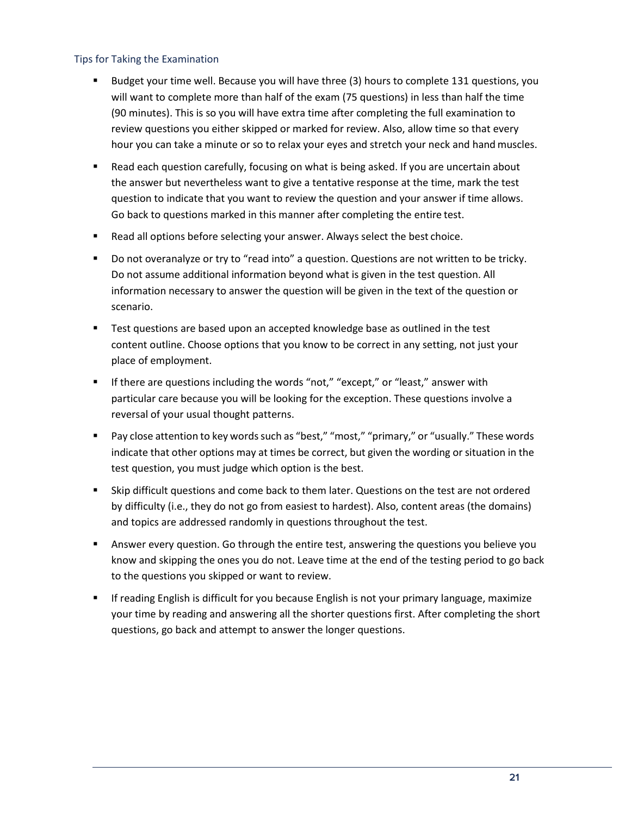#### Tips for Taking the Examination

- Budget your time well. Because you will have three (3) hours to complete 131 questions, you will want to complete more than half of the exam (75 questions) in less than half the time (90 minutes). This is so you will have extra time after completing the full examination to review questions you either skipped or marked for review. Also, allow time so that every hour you can take a minute or so to relax your eyes and stretch your neck and hand muscles.
- Read each question carefully, focusing on what is being asked. If you are uncertain about the answer but nevertheless want to give a tentative response at the time, mark the test question to indicate that you want to review the question and your answer if time allows. Go back to questions marked in this manner after completing the entire test.
- Read all options before selecting your answer. Always select the best choice.
- Do not overanalyze or try to "read into" a question. Questions are not written to be tricky. Do not assume additional information beyond what is given in the test question. All information necessary to answer the question will be given in the text of the question or scenario.
- **EXECT** Test questions are based upon an accepted knowledge base as outlined in the test content outline. Choose options that you know to be correct in any setting, not just your place of employment.
- **■** If there are questions including the words "not," "except," or "least," answer with particular care because you will be looking for the exception. These questions involve a reversal of your usual thought patterns.
- Pay close attention to key words such as "best," "most," "primary," or "usually." These words indicate that other options may at times be correct, but given the wording or situation in the test question, you must judge which option is the best.
- Skip difficult questions and come back to them later. Questions on the test are not ordered by difficulty (i.e., they do not go from easiest to hardest). Also, content areas (the domains) and topics are addressed randomly in questions throughout the test.
- **EXECT** Answer every question. Go through the entire test, answering the questions you believe you know and skipping the ones you do not. Leave time at the end of the testing period to go back to the questions you skipped or want to review.
- **■** If reading English is difficult for you because English is not your primary language, maximize your time by reading and answering all the shorter questions first. After completing the short questions, go back and attempt to answer the longer questions.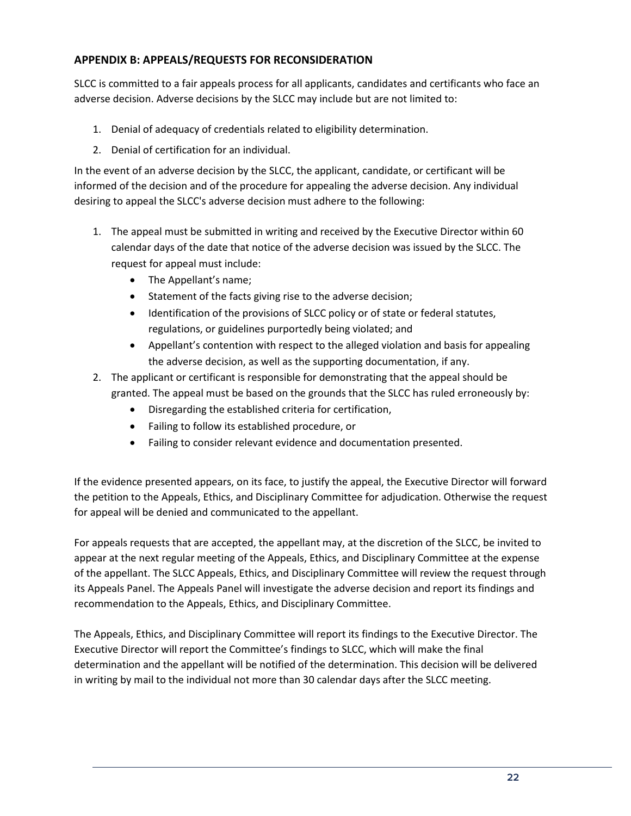## **APPENDIX B: APPEALS/REQUESTS FOR RECONSIDERATION**

SLCC is committed to a fair appeals process for all applicants, candidates and certificants who face an adverse decision. Adverse decisions by the SLCC may include but are not limited to:

- 1. Denial of adequacy of credentials related to eligibility determination.
- 2. Denial of certification for an individual.

In the event of an adverse decision by the SLCC, the applicant, candidate, or certificant will be informed of the decision and of the procedure for appealing the adverse decision. Any individual desiring to appeal the SLCC's adverse decision must adhere to the following:

- 1. The appeal must be submitted in writing and received by the Executive Director within 60 calendar days of the date that notice of the adverse decision was issued by the SLCC. The request for appeal must include:
	- The Appellant's name;
	- Statement of the facts giving rise to the adverse decision;
	- Identification of the provisions of SLCC policy or of state or federal statutes, regulations, or guidelines purportedly being violated; and
	- Appellant's contention with respect to the alleged violation and basis for appealing the adverse decision, as well as the supporting documentation, if any.
- 2. The applicant or certificant is responsible for demonstrating that the appeal should be granted. The appeal must be based on the grounds that the SLCC has ruled erroneously by:
	- Disregarding the established criteria for certification,
	- Failing to follow its established procedure, or
	- Failing to consider relevant evidence and documentation presented.

If the evidence presented appears, on its face, to justify the appeal, the Executive Director will forward the petition to the Appeals, Ethics, and Disciplinary Committee for adjudication. Otherwise the request for appeal will be denied and communicated to the appellant.

For appeals requests that are accepted, the appellant may, at the discretion of the SLCC, be invited to appear at the next regular meeting of the Appeals, Ethics, and Disciplinary Committee at the expense of the appellant. The SLCC Appeals, Ethics, and Disciplinary Committee will review the request through its Appeals Panel. The Appeals Panel will investigate the adverse decision and report its findings and recommendation to the Appeals, Ethics, and Disciplinary Committee.

The Appeals, Ethics, and Disciplinary Committee will report its findings to the Executive Director. The Executive Director will report the Committee's findings to SLCC, which will make the final determination and the appellant will be notified of the determination. This decision will be delivered in writing by mail to the individual not more than 30 calendar days after the SLCC meeting.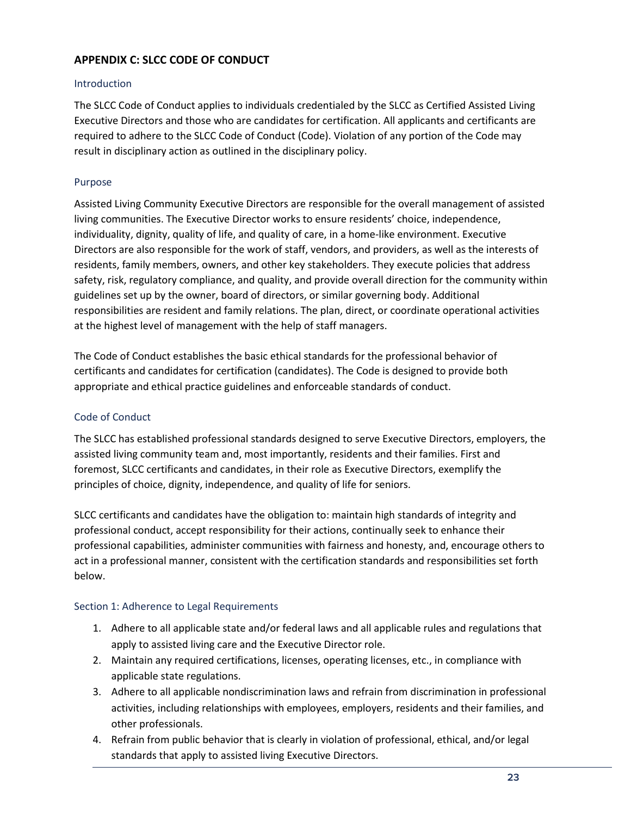## **APPENDIX C: SLCC CODE OF CONDUCT**

#### **Introduction**

The SLCC Code of Conduct applies to individuals credentialed by the SLCC as Certified Assisted Living Executive Directors and those who are candidates for certification. All applicants and certificants are required to adhere to the SLCC Code of Conduct (Code). Violation of any portion of the Code may result in disciplinary action as outlined in the disciplinary policy.

#### Purpose

Assisted Living Community Executive Directors are responsible for the overall management of assisted living communities. The Executive Director works to ensure residents' choice, independence, individuality, dignity, quality of life, and quality of care, in a home-like environment. Executive Directors are also responsible for the work of staff, vendors, and providers, as well as the interests of residents, family members, owners, and other key stakeholders. They execute policies that address safety, risk, regulatory compliance, and quality, and provide overall direction for the community within guidelines set up by the owner, board of directors, or similar governing body. Additional responsibilities are resident and family relations. The plan, direct, or coordinate operational activities at the highest level of management with the help of staff managers.

The Code of Conduct establishes the basic ethical standards for the professional behavior of certificants and candidates for certification (candidates). The Code is designed to provide both appropriate and ethical practice guidelines and enforceable standards of conduct.

#### Code of Conduct

The SLCC has established professional standards designed to serve Executive Directors, employers, the assisted living community team and, most importantly, residents and their families. First and foremost, SLCC certificants and candidates, in their role as Executive Directors, exemplify the principles of choice, dignity, independence, and quality of life for seniors.

SLCC certificants and candidates have the obligation to: maintain high standards of integrity and professional conduct, accept responsibility for their actions, continually seek to enhance their professional capabilities, administer communities with fairness and honesty, and, encourage others to act in a professional manner, consistent with the certification standards and responsibilities set forth below.

#### Section 1: Adherence to Legal Requirements

- 1. Adhere to all applicable state and/or federal laws and all applicable rules and regulations that apply to assisted living care and the Executive Director role.
- 2. Maintain any required certifications, licenses, operating licenses, etc., in compliance with applicable state regulations.
- 3. Adhere to all applicable nondiscrimination laws and refrain from discrimination in professional activities, including relationships with employees, employers, residents and their families, and other professionals.
- 4. Refrain from public behavior that is clearly in violation of professional, ethical, and/or legal standards that apply to assisted living Executive Directors.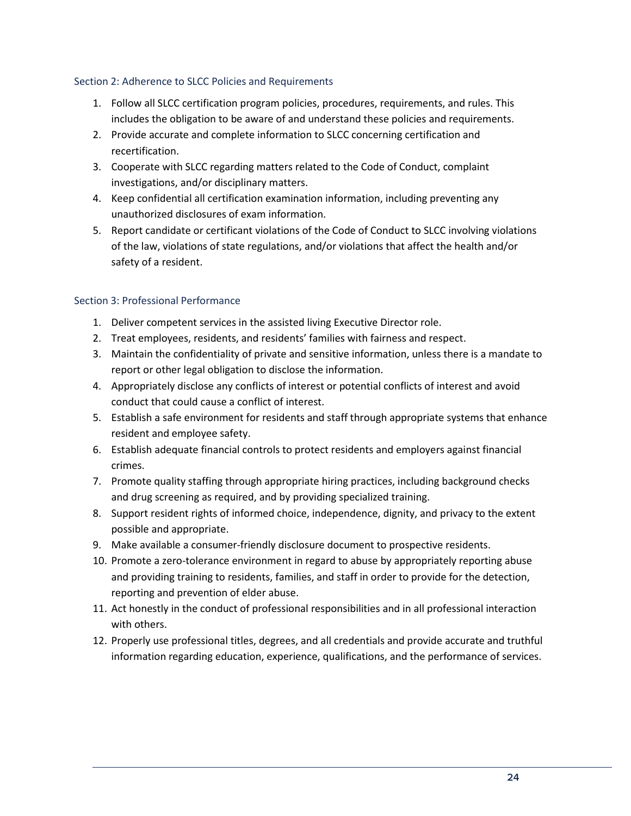#### Section 2: Adherence to SLCC Policies and Requirements

- 1. Follow all SLCC certification program policies, procedures, requirements, and rules. This includes the obligation to be aware of and understand these policies and requirements.
- 2. Provide accurate and complete information to SLCC concerning certification and recertification.
- 3. Cooperate with SLCC regarding matters related to the Code of Conduct, complaint investigations, and/or disciplinary matters.
- 4. Keep confidential all certification examination information, including preventing any unauthorized disclosures of exam information.
- 5. Report candidate or certificant violations of the Code of Conduct to SLCC involving violations of the law, violations of state regulations, and/or violations that affect the health and/or safety of a resident.

#### Section 3: Professional Performance

- 1. Deliver competent services in the assisted living Executive Director role.
- 2. Treat employees, residents, and residents' families with fairness and respect.
- 3. Maintain the confidentiality of private and sensitive information, unless there is a mandate to report or other legal obligation to disclose the information.
- 4. Appropriately disclose any conflicts of interest or potential conflicts of interest and avoid conduct that could cause a conflict of interest.
- 5. Establish a safe environment for residents and staff through appropriate systems that enhance resident and employee safety.
- 6. Establish adequate financial controls to protect residents and employers against financial crimes.
- 7. Promote quality staffing through appropriate hiring practices, including background checks and drug screening as required, and by providing specialized training.
- 8. Support resident rights of informed choice, independence, dignity, and privacy to the extent possible and appropriate.
- 9. Make available a consumer-friendly disclosure document to prospective residents.
- 10. Promote a zero-tolerance environment in regard to abuse by appropriately reporting abuse and providing training to residents, families, and staff in order to provide for the detection, reporting and prevention of elder abuse.
- 11. Act honestly in the conduct of professional responsibilities and in all professional interaction with others.
- 12. Properly use professional titles, degrees, and all credentials and provide accurate and truthful information regarding education, experience, qualifications, and the performance of services.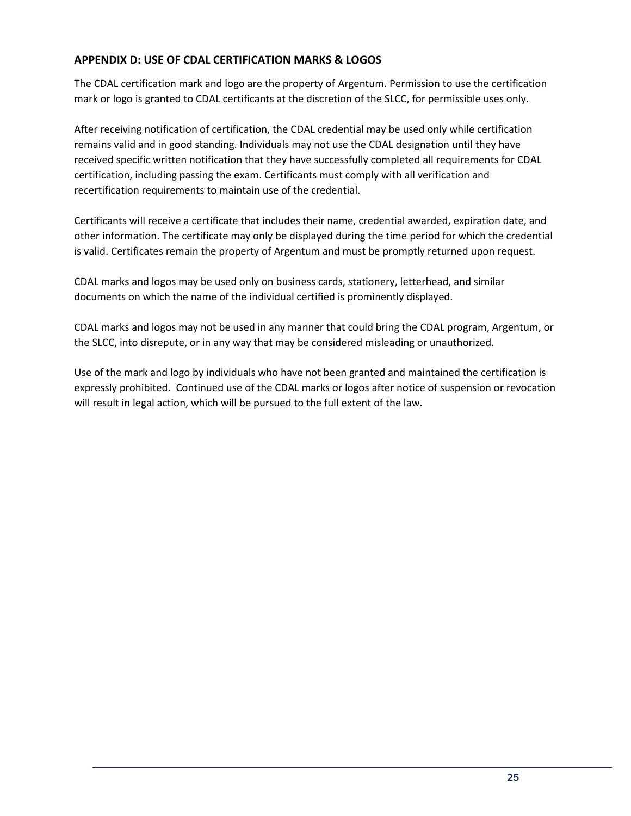## **APPENDIX D: USE OF CDAL CERTIFICATION MARKS & LOGOS**

The CDAL certification mark and logo are the property of Argentum. Permission to use the certification mark or logo is granted to CDAL certificants at the discretion of the SLCC, for permissible uses only.

After receiving notification of certification, the CDAL credential may be used only while certification remains valid and in good standing. Individuals may not use the CDAL designation until they have received specific written notification that they have successfully completed all requirements for CDAL certification, including passing the exam. Certificants must comply with all verification and recertification requirements to maintain use of the credential.

Certificants will receive a certificate that includes their name, credential awarded, expiration date, and other information. The certificate may only be displayed during the time period for which the credential is valid. Certificates remain the property of Argentum and must be promptly returned upon request.

CDAL marks and logos may be used only on business cards, stationery, letterhead, and similar documents on which the name of the individual certified is prominently displayed.

CDAL marks and logos may not be used in any manner that could bring the CDAL program, Argentum, or the SLCC, into disrepute, or in any way that may be considered misleading or unauthorized.

Use of the mark and logo by individuals who have not been granted and maintained the certification is expressly prohibited. Continued use of the CDAL marks or logos after notice of suspension or revocation will result in legal action, which will be pursued to the full extent of the law.